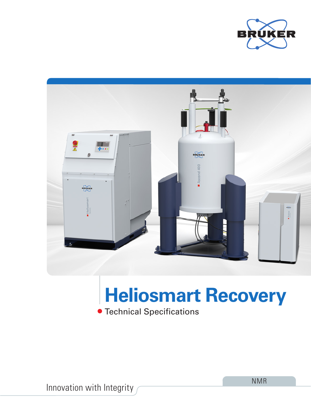



# **Heliosmart Recovery**

Technical Specifications

Innovation with Integrity

NMR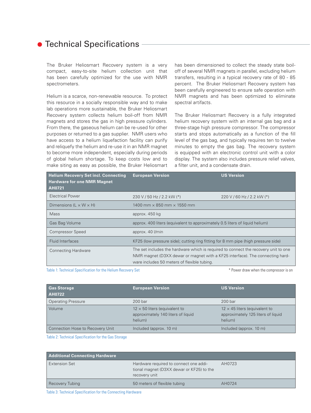### **• Technical Specifications**

The Bruker Heliosmart Recovery system is a very compact, easy-to-site helium collection unit that has been carefully optimized for the use with NMR spectrometers.

Helium is a scarce, non-renewable resource. To protect this resource in a socially responsible way and to make lab operations more sustainable, the Bruker Heliosmart Recovery system collects helium boil-off from NMR magnets and stores the gas in high pressure cylinders. From there, the gaseous helium can be re-used for other purposes or returned to a gas supplier. NMR users who have access to a helium liquefaction facility can purify and reliquefy the helium and re-use it in an NMR magnet to become more independent, especially during periods of global helium shortage. To keep costs low and to make siting as easy as possible, the Bruker Heliosmart has been dimensioned to collect the steady state boiloff of several NMR magnets in parallel, excluding helium transfers, resulting in a typical recovery rate of 80 - 85 percent. The Bruker Heliosmart Recovery system has been carefully engineered to ensure safe operation with NMR magnets and has been optimized to eliminate spectral artifacts.

The Bruker Heliosmart Recovery is a fully integrated helium recovery system with an internal gas bag and a three-stage high pressure compressor. The compressor starts and stops automatically as a function of the fill level of the gas bag, and typically requires ten to twelve minutes to empty the gas bag. The recovery system is equipped with an electronic control unit with a color display. The system also includes pressure relief valves, a filter unit, and a condensate drain.

| <b>Helium Recovery Set incl. Connecting</b><br><b>Hardware for one NMR Magnet</b><br>AH0721 | <b>European Version</b>                                                                                                                                                                                             | <b>US Version</b>          |
|---------------------------------------------------------------------------------------------|---------------------------------------------------------------------------------------------------------------------------------------------------------------------------------------------------------------------|----------------------------|
| <b>Electrical Power</b>                                                                     | 230 V / 50 Hz / 2.2 kW (*)                                                                                                                                                                                          | 220 V / 60 Hz / 2.2 kW (*) |
| Dimensions ( $L \times W \times H$ )                                                        | 1400 mm $\times$ 850 mm $\times$ 1550 mm                                                                                                                                                                            |                            |
| <b>Mass</b>                                                                                 | approx. 450 kg                                                                                                                                                                                                      |                            |
| Gas Bag Volume                                                                              | approx. 400 liters (equivalent to approximately 0.5 liters of liquid helium)                                                                                                                                        |                            |
| <b>Compressor Speed</b>                                                                     | approx. 40 l/min                                                                                                                                                                                                    |                            |
| <b>Fluid Interfaces</b>                                                                     | KF25 (low pressure side); cutting ring fitting for 8 mm pipe (high pressure side)                                                                                                                                   |                            |
| <b>Connecting Hardware</b>                                                                  | The set includes the hardware which is required to connect the recovery unit to one<br>NMR magnet (D3XX dewar or magnet with a KF25 interface). The connecting hard-<br>ware includes 50 meters of flexible tubing. |                            |

Table 1: Technical Specification for the Helium Recovery Set  $*$  Power draw when the compressor is on

| <b>Gas Storage</b><br><b>AH0722</b> | <b>European Version</b>                                                               | <b>US Version</b>                                                                     |
|-------------------------------------|---------------------------------------------------------------------------------------|---------------------------------------------------------------------------------------|
| <b>Operating Pressure</b>           | $200$ bar                                                                             | $200$ bar                                                                             |
| Volume                              | $12 \times 50$ liters (equivalent to<br>approximately 140 liters of liquid<br>helium) | $12 \times 45$ liters (equivalent to<br>approximately 125 liters of liquid<br>helium) |
| Connection Hose to Recovery Unit    | Included (approx. 10 m)                                                               | Included (approx. 10 m)                                                               |

Table 2: Technical Specification for the Gas Storage

| <b>Additional Connecting Hardware</b> |                                                                                                      |        |
|---------------------------------------|------------------------------------------------------------------------------------------------------|--------|
| <b>Extension Set</b>                  | Hardware required to connect one addi-<br>tional magnet (D3XX dewar or KF25) to the<br>recovery unit | AH0723 |
| Recovery Tubing                       | 50 meters of flexible tubing                                                                         | AH0724 |

Table 3: Technical Specification for the Connecting Hardware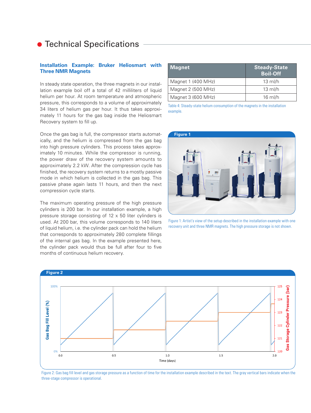### **• Technical Specifications**

#### **Installation Example: Bruker Heliosmart with Three NMR Magnets**

In steady state operation, the three magnets in our installation example boil off a total of 42 milliliters of liquid helium per hour. At room temperature and atmospheric pressure, this corresponds to a volume of approximately 34 liters of helium gas per hour. It thus takes approximately 11 hours for the gas bag inside the Heliosmart Recovery system to fill up.

Once the gas bag is full, the compressor starts automatically, and the helium is compressed from the gas bag into high pressure cylinders. This process takes approximately 10 minutes. While the compressor is running, the power draw of the recovery system amounts to approximately 2.2 kW. After the compression cycle has finished, the recovery system returns to a mostly passive mode in which helium is collected in the gas bag. This passive phase again lasts 11 hours, and then the next compression cycle starts.

The maximum operating pressure of the high pressure cylinders is 200 bar. In our installation example, a high pressure storage consisting of 12 x 50 liter cylinders is used. At 200 bar, this volume corresponds to 140 liters of liquid helium, i.e. the cylinder pack can hold the helium that corresponds to approximately 280 complete fillings of the internal gas bag. In the example presented here, the cylinder pack would thus be full after four to five months of continuous helium recovery.

| <b>Magnet</b>      | <b>Steady-State</b><br><b>Boil-Off</b> |
|--------------------|----------------------------------------|
| Magnet 1 (400 MHz) | $13 \text{ ml/h}$                      |
| Magnet 2 (500 MHz) | $13 \text{ ml/h}$                      |
| Magnet 3 (600 MHz) | $16$ ml/h                              |

Table 4: Steady-state helium consumption of the magnets in the installation example.



Figure 1: Artist's view of the setup described in the installation example with one recovery unit and three NMR magnets. The high pressure storage is not shown.



Figure 2: Gas bag fill level and gas storage pressure as a function of time for the installation example described in the text. The gray vertical bars indicate when the three-stage compressor is operational.